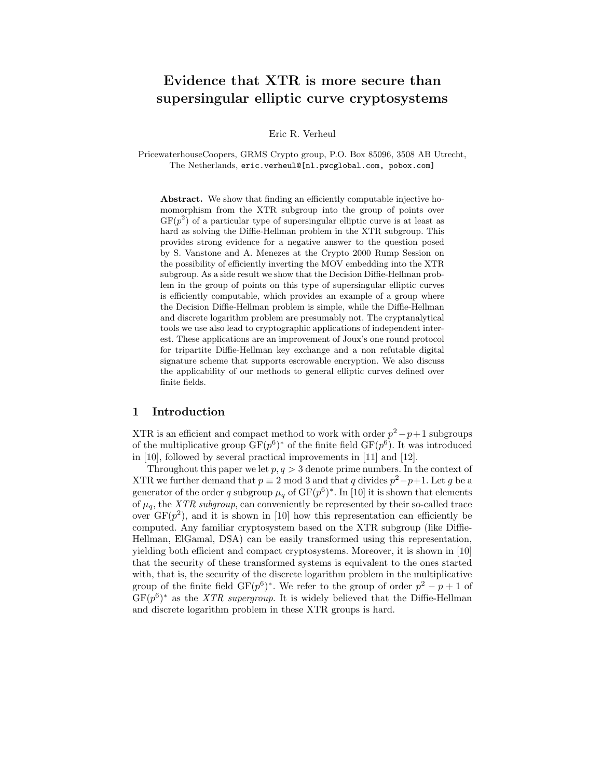# Evidence that XTR is more secure than supersingular elliptic curve cryptosystems

Eric R. Verheul

PricewaterhouseCoopers, GRMS Crypto group, P.O. Box 85096, 3508 AB Utrecht, The Netherlands, eric.verheul@[nl.pwcglobal.com, pobox.com]

Abstract. We show that finding an efficiently computable injective homomorphism from the XTR subgroup into the group of points over  $GF(p^2)$  of a particular type of supersingular elliptic curve is at least as hard as solving the Diffie-Hellman problem in the XTR subgroup. This provides strong evidence for a negative answer to the question posed by S. Vanstone and A. Menezes at the Crypto 2000 Rump Session on the possibility of efficiently inverting the MOV embedding into the XTR subgroup. As a side result we show that the Decision Diffie-Hellman problem in the group of points on this type of supersingular elliptic curves is efficiently computable, which provides an example of a group where the Decision Diffie-Hellman problem is simple, while the Diffie-Hellman and discrete logarithm problem are presumably not. The cryptanalytical tools we use also lead to cryptographic applications of independent interest. These applications are an improvement of Joux's one round protocol for tripartite Diffie-Hellman key exchange and a non refutable digital signature scheme that supports escrowable encryption. We also discuss the applicability of our methods to general elliptic curves defined over finite fields.

## 1 Introduction

XTR is an efficient and compact method to work with order  $p^2 - p + 1$  subgroups of the multiplicative group  $GF(p^6)^*$  of the finite field  $GF(p^6)$ . It was introduced in [10], followed by several practical improvements in [11] and [12].

Throughout this paper we let  $p, q > 3$  denote prime numbers. In the context of XTR we further demand that  $p \equiv 2 \mod 3$  and that q divides  $p^2-p+1$ . Let g be a generator of the order q subgroup  $\mu_q$  of  $GF(p^6)^*$ . In [10] it is shown that elements of  $\mu_q$ , the *XTR subgroup*, can conveniently be represented by their so-called trace over  $GF(p^2)$ , and it is shown in [10] how this representation can efficiently be computed. Any familiar cryptosystem based on the XTR subgroup (like Diffie-Hellman, ElGamal, DSA) can be easily transformed using this representation, yielding both efficient and compact cryptosystems. Moreover, it is shown in [10] that the security of these transformed systems is equivalent to the ones started with, that is, the security of the discrete logarithm problem in the multiplicative group of the finite field  $GF(p^6)^*$ . We refer to the group of order  $p^2 - p + 1$  of  $GF(p^6)^*$  as the *XTR supergroup*. It is widely believed that the Diffie-Hellman and discrete logarithm problem in these XTR groups is hard.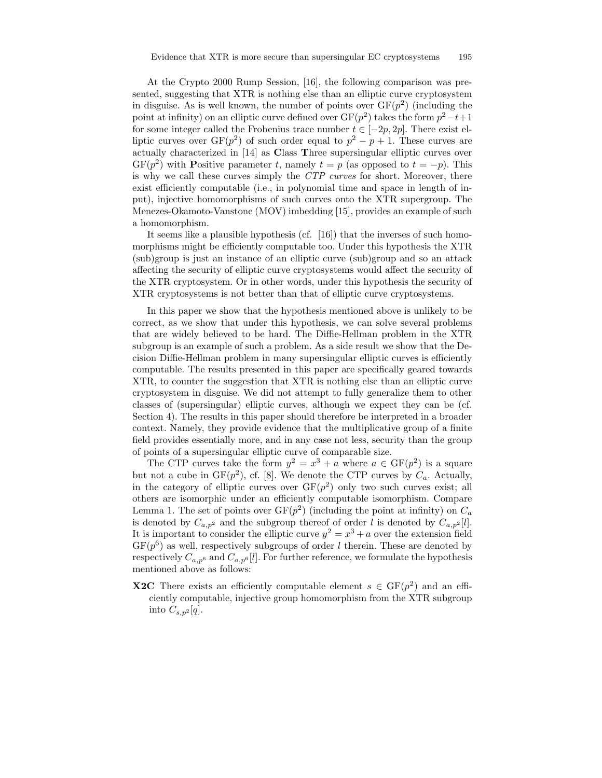At the Crypto 2000 Rump Session, [16], the following comparison was presented, suggesting that XTR is nothing else than an elliptic curve cryptosystem in disguise. As is well known, the number of points over  $GF(p^2)$  (including the point at infinity) on an elliptic curve defined over  $GF(p^2)$  takes the form  $p^2-t+1$ for some integer called the Frobenius trace number  $t \in [-2p, 2p]$ . There exist elliptic curves over  $GF(p^2)$  of such order equal to  $p^2 - p + 1$ . These curves are actually characterized in [14] as Class Three supersingular elliptic curves over  $GF(p^2)$  with **P**ositive parameter t, namely  $t = p$  (as opposed to  $t = -p$ ). This is why we call these curves simply the CTP curves for short. Moreover, there exist efficiently computable (i.e., in polynomial time and space in length of input), injective homomorphisms of such curves onto the XTR supergroup. The Menezes-Okamoto-Vanstone (MOV) imbedding [15], provides an example of such a homomorphism.

It seems like a plausible hypothesis (cf. [16]) that the inverses of such homomorphisms might be efficiently computable too. Under this hypothesis the XTR (sub)group is just an instance of an elliptic curve (sub)group and so an attack affecting the security of elliptic curve cryptosystems would affect the security of the XTR cryptosystem. Or in other words, under this hypothesis the security of XTR cryptosystems is not better than that of elliptic curve cryptosystems.

In this paper we show that the hypothesis mentioned above is unlikely to be correct, as we show that under this hypothesis, we can solve several problems that are widely believed to be hard. The Diffie-Hellman problem in the XTR subgroup is an example of such a problem. As a side result we show that the Decision Diffie-Hellman problem in many supersingular elliptic curves is efficiently computable. The results presented in this paper are specifically geared towards XTR, to counter the suggestion that XTR is nothing else than an elliptic curve cryptosystem in disguise. We did not attempt to fully generalize them to other classes of (supersingular) elliptic curves, although we expect they can be (cf. Section 4). The results in this paper should therefore be interpreted in a broader context. Namely, they provide evidence that the multiplicative group of a finite field provides essentially more, and in any case not less, security than the group of points of a supersingular elliptic curve of comparable size.

The CTP curves take the form  $y^2 = x^3 + a$  where  $a \in \text{GF}(p^2)$  is a square but not a cube in  $GF(p^2)$ , cf. [8]. We denote the CTP curves by  $C_a$ . Actually, in the category of elliptic curves over  $GF(p^2)$  only two such curves exist; all others are isomorphic under an efficiently computable isomorphism. Compare Lemma 1. The set of points over  $GF(p^2)$  (including the point at infinity) on  $C_a$ is denoted by  $C_{a,p^2}$  and the subgroup thereof of order l is denoted by  $C_{a,p^2}[l]$ . It is important to consider the elliptic curve  $y^2 = x^3 + a$  over the extension field  $GF(p^6)$  as well, respectively subgroups of order l therein. These are denoted by respectively  $C_{a,p^6}$  and  $C_{a,p^6}[l]$ . For further reference, we formulate the hypothesis mentioned above as follows:

**X2C** There exists an efficiently computable element  $s \in GF(p^2)$  and an efficiently computable, injective group homomorphism from the XTR subgroup into  $C_{s,p^2}[q]$ .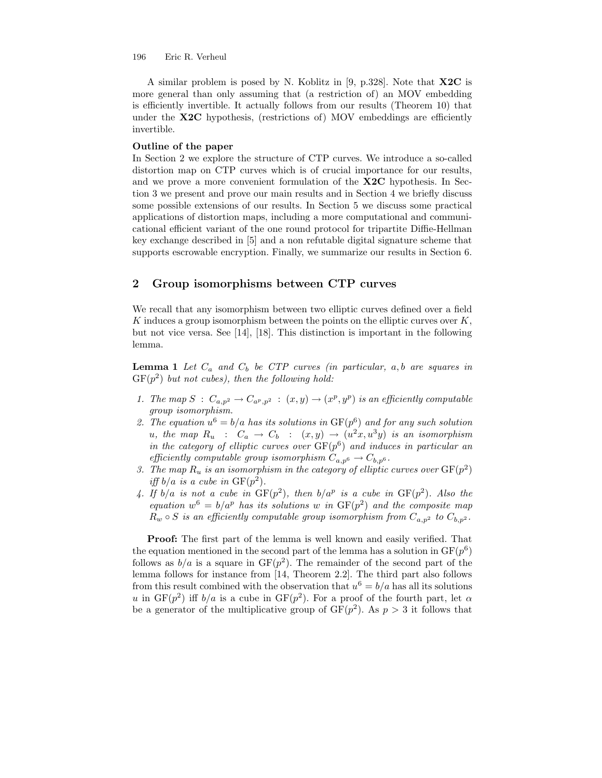A similar problem is posed by N. Koblitz in [9, p.328]. Note that X2C is more general than only assuming that (a restriction of) an MOV embedding is efficiently invertible. It actually follows from our results (Theorem 10) that under the X2C hypothesis, (restrictions of) MOV embeddings are efficiently invertible.

## Outline of the paper

In Section 2 we explore the structure of CTP curves. We introduce a so-called distortion map on CTP curves which is of crucial importance for our results, and we prove a more convenient formulation of the X2C hypothesis. In Section 3 we present and prove our main results and in Section 4 we briefly discuss some possible extensions of our results. In Section 5 we discuss some practical applications of distortion maps, including a more computational and communicational efficient variant of the one round protocol for tripartite Diffie-Hellman key exchange described in [5] and a non refutable digital signature scheme that supports escrowable encryption. Finally, we summarize our results in Section 6.

# 2 Group isomorphisms between CTP curves

We recall that any isomorphism between two elliptic curves defined over a field K induces a group isomorphism between the points on the elliptic curves over  $K$ , but not vice versa. See [14], [18]. This distinction is important in the following lemma.

**Lemma 1** Let  $C_a$  and  $C_b$  be CTP curves (in particular,  $a, b$  are squares in  $GF(p^2)$  but not cubes), then the following hold:

- 1. The map  $S: C_{a,p^2} \to C_{a^p,p^2} : (x,y) \to (x^p, y^p)$  is an efficiently computable group isomorphism.
- 2. The equation  $u^6 = b/a$  has its solutions in  $GF(p^6)$  and for any such solution u, the map  $R_u$  :  $C_a \rightarrow C_b$  :  $(x,y) \rightarrow (u^2x, u^3y)$  is an isomorphism in the category of elliptic curves over  $GF(p^6)$  and induces in particular an efficiently computable group isomorphism  $C_{a,p^6} \to C_{b,p^6}$ .
- 3. The map  $R_u$  is an isomorphism in the category of elliptic curves over  $GF(p^2)$ iff  $b/a$  is a cube in  $GF(p^2)$ .
- 4. If  $b/a$  is not a cube in  $GF(p^2)$ , then  $b/a^p$  is a cube in  $GF(p^2)$ . Also the equation  $w^6 = b/a^p$  has its solutions w in  $GF(p^2)$  and the composite map  $R_w \circ S$  is an efficiently computable group isomorphism from  $C_{a,p^2}$  to  $C_{b,p^2}$ .

Proof: The first part of the lemma is well known and easily verified. That the equation mentioned in the second part of the lemma has a solution in  $GF(p^6)$ follows as  $b/a$  is a square in  $GF(p^2)$ . The remainder of the second part of the lemma follows for instance from [14, Theorem 2.2]. The third part also follows from this result combined with the observation that  $u^6 = b/a$  has all its solutions u in  $GF(p^2)$  iff  $b/a$  is a cube in  $GF(p^2)$ . For a proof of the fourth part, let  $\alpha$ be a generator of the multiplicative group of  $GF(p^2)$ . As  $p > 3$  it follows that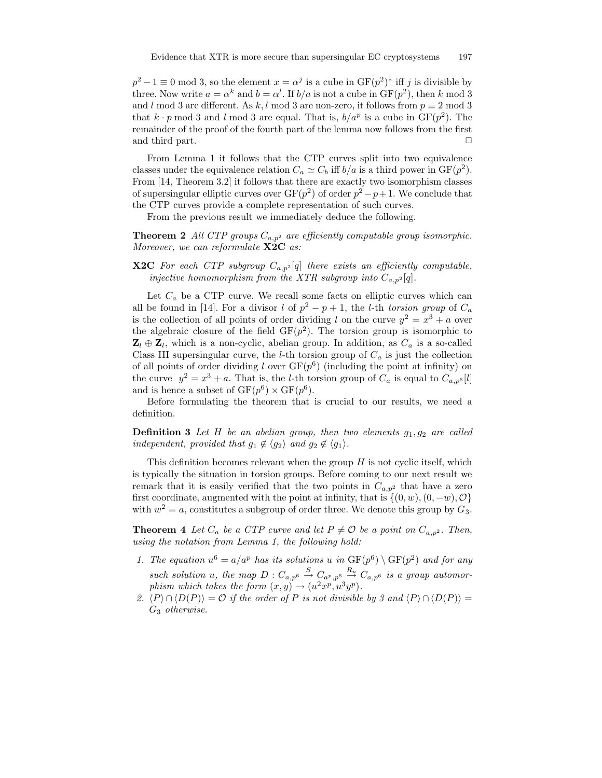$p^2 - 1 \equiv 0 \mod 3$ , so the element  $x = \alpha^j$  is a cube in  $GF(p^2)^*$  iff j is divisible by three. Now write  $a = \alpha^k$  and  $b = \alpha^l$ . If  $b/a$  is not a cube in  $GF(p^2)$ , then k mod 3 and l mod 3 are different. As k, l mod 3 are non-zero, it follows from  $p \equiv 2 \mod 3$ that  $k \cdot p \mod 3$  and l mod 3 are equal. That is,  $b/a^p$  is a cube in  $GF(p^2)$ . The remainder of the proof of the fourth part of the lemma now follows from the first and third part.  $\Box$ 

From Lemma 1 it follows that the CTP curves split into two equivalence classes under the equivalence relation  $C_a \simeq C_b$  iff  $b/a$  is a third power in  $GF(p^2)$ . From [14, Theorem 3.2] it follows that there are exactly two isomorphism classes of supersingular elliptic curves over  $GF(p^2)$  of order  $p^2 - p + 1$ . We conclude that the CTP curves provide a complete representation of such curves.

From the previous result we immediately deduce the following.

**Theorem 2** All CTP groups  $C_{a,p^2}$  are efficiently computable group isomorphic. Moreover, we can reformulate **X2C** as:

**X2C** For each CTP subgroup  $C_{a,p^2}[q]$  there exists an efficiently computable, injective homomorphism from the XTR subgroup into  $C_{a,p^2}[q]$ .

Let  $C_a$  be a CTP curve. We recall some facts on elliptic curves which can all be found in [14]. For a divisor l of  $p^2 - p + 1$ , the l-th torsion group of  $C_a$ is the collection of all points of order dividing l on the curve  $y^2 = x^3 + a$  over the algebraic closure of the field  $GF(p^2)$ . The torsion group is isomorphic to  $\mathbf{Z}_l \oplus \mathbf{Z}_l$ , which is a non-cyclic, abelian group. In addition, as  $C_a$  is a so-called Class III supersingular curve, the *l*-th torsion group of  $C_a$  is just the collection of all points of order dividing l over  $GF(p^6)$  (including the point at infinity) on the curve  $y^2 = x^3 + a$ . That is, the *l*-th torsion group of  $C_a$  is equal to  $C_{a,p^6}[l]$ and is hence a subset of  $GF(p^6) \times GF(p^6)$ .

Before formulating the theorem that is crucial to our results, we need a definition.

**Definition 3** Let H be an abelian group, then two elements  $g_1, g_2$  are called independent, provided that  $g_1 \notin \langle g_2 \rangle$  and  $g_2 \notin \langle g_1 \rangle$ .

This definition becomes relevant when the group  $H$  is not cyclic itself, which is typically the situation in torsion groups. Before coming to our next result we remark that it is easily verified that the two points in  $C_{a,p^2}$  that have a zero first coordinate, augmented with the point at infinity, that is  $\{(0, w), (0, -w), \mathcal{O}\}\$ with  $w^2 = a$ , constitutes a subgroup of order three. We denote this group by  $G_3$ .

**Theorem 4** Let  $C_a$  be a CTP curve and let  $P \neq \mathcal{O}$  be a point on  $C_{a,p^2}$ . Then, using the notation from Lemma 1, the following hold:

- 1. The equation  $u^6 = a/a^p$  has its solutions u in  $GF(p^6) \setminus GF(p^2)$  and for any such solution u, the map  $D: C_{a,p^6} \stackrel{S}{\to} C_{a^p,p^6} \stackrel{R_u}{\to} C_{a,p^6}$  is a group automorphism which takes the form  $(x, y) \rightarrow (u^2 x^p, u^3 y^p)$ .
- 2.  $\langle P \rangle \cap \langle D(P) \rangle = O$  if the order of P is not divisible by 3 and  $\langle P \rangle \cap \langle D(P) \rangle =$ G<sup>3</sup> otherwise.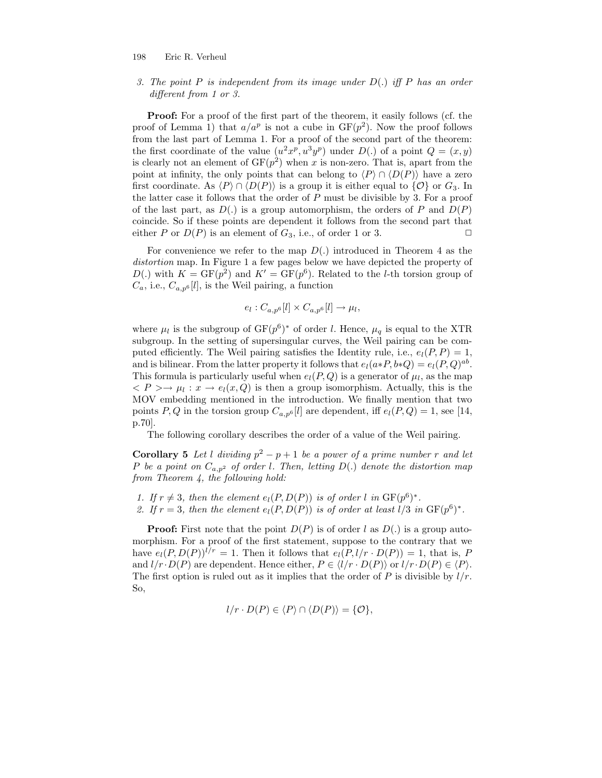3. The point P is independent from its image under  $D(.)$  iff P has an order different from 1 or 3.

Proof: For a proof of the first part of the theorem, it easily follows (cf. the proof of Lemma 1) that  $a/a^p$  is not a cube in  $GF(p^2)$ . Now the proof follows from the last part of Lemma 1. For a proof of the second part of the theorem: the first coordinate of the value  $(u^2x^p, u^3y^p)$  under  $D(.)$  of a point  $Q = (x, y)$ is clearly not an element of  $GF(p^2)$  when x is non-zero. That is, apart from the point at infinity, the only points that can belong to  $\langle P \rangle \cap \langle D(P) \rangle$  have a zero first coordinate. As  $\langle P \rangle \cap \langle D(P) \rangle$  is a group it is either equal to  $\{O\}$  or  $G_3$ . In the latter case it follows that the order of  $P$  must be divisible by 3. For a proof of the last part, as  $D(.)$  is a group automorphism, the orders of P and  $D(P)$ coincide. So if these points are dependent it follows from the second part that either P or  $D(P)$  is an element of  $G_3$ , i.e., of order 1 or 3.

For convenience we refer to the map  $D(.)$  introduced in Theorem 4 as the distortion map. In Figure 1 a few pages below we have depicted the property of  $D(.)$  with  $K = GF(p^2)$  and  $K' = GF(p^6)$ . Related to the *l*-th torsion group of  $C_a$ , i.e.,  $C_{a,p^6}[l]$ , is the Weil pairing, a function

$$
e_l: C_{a,p^6}[l] \times C_{a,p^6}[l] \to \mu_l,
$$

where  $\mu_l$  is the subgroup of  $GF(p^6)^*$  of order l. Hence,  $\mu_q$  is equal to the XTR subgroup. In the setting of supersingular curves, the Weil pairing can be computed efficiently. The Weil pairing satisfies the Identity rule, i.e.,  $e_l(P, P) = 1$ , and is bilinear. From the latter property it follows that  $e_l(a*P, b*Q) = e_l(P, Q)^{ab}$ . This formula is particularly useful when  $e_l(P,Q)$  is a generator of  $\mu_l$ , as the map  $\langle P \rangle \rightarrow \mu_l : x \rightarrow e_l(x, Q)$  is then a group isomorphism. Actually, this is the MOV embedding mentioned in the introduction. We finally mention that two points P, Q in the torsion group  $C_{a,p^6}[l]$  are dependent, iff  $e_l(P,Q) = 1$ , see [14, p.70].

The following corollary describes the order of a value of the Weil pairing.

**Corollary 5** Let l dividing  $p^2 - p + 1$  be a power of a prime number r and let P be a point on  $C_{a,p^2}$  of order l. Then, letting  $D(.)$  denote the distortion map from Theorem 4, the following hold:

1. If  $r \neq 3$ , then the element  $e_l(P, D(P))$  is of order l in  $GF(p^6)^*$ . 2. If  $r = 3$ , then the element  $e_l(P, D(P))$  is of order at least  $l/3$  in  $GF(p^6)^*$ .

**Proof:** First note that the point  $D(P)$  is of order l as  $D(.)$  is a group automorphism. For a proof of the first statement, suppose to the contrary that we have  $e_l(P, D(P))^{l/r} = 1$ . Then it follows that  $e_l(P, l/r \cdot D(P)) = 1$ , that is, P and  $l/r \cdot D(P)$  are dependent. Hence either,  $P \in \langle l/r \cdot D(P) \rangle$  or  $l/r \cdot D(P) \in \langle P \rangle$ . The first option is ruled out as it implies that the order of  $P$  is divisible by  $l/r$ . So,

$$
l/r \cdot D(P) \in \langle P \rangle \cap \langle D(P) \rangle = \{ \mathcal{O} \},
$$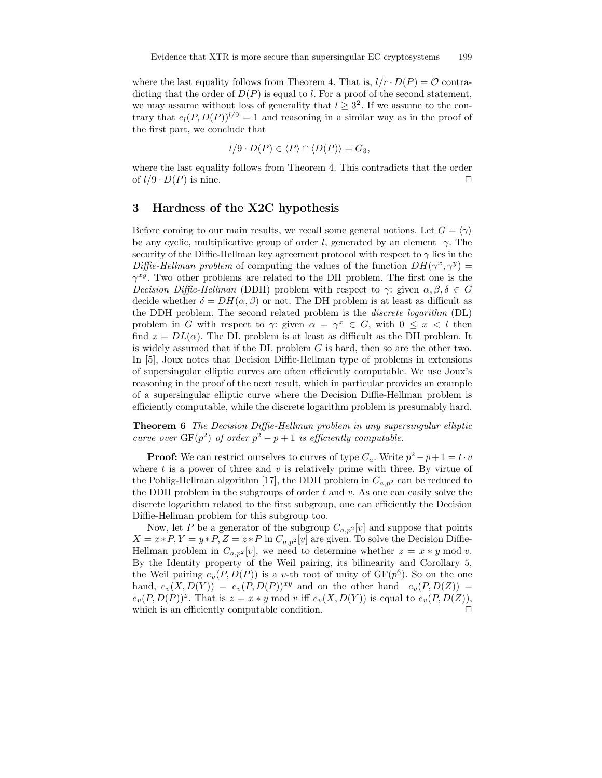where the last equality follows from Theorem 4. That is,  $l/r \cdot D(P) = \mathcal{O}$  contradicting that the order of  $D(P)$  is equal to l. For a proof of the second statement, we may assume without loss of generality that  $l \geq 3^2$ . If we assume to the contrary that  $e_l(P, D(P))^{l/9} = 1$  and reasoning in a similar way as in the proof of the first part, we conclude that

$$
l/9 \cdot D(P) \in \langle P \rangle \cap \langle D(P) \rangle = G_3,
$$

where the last equality follows from Theorem 4. This contradicts that the order of  $l/9 \cdot D(P)$  is nine.

## 3 Hardness of the X2C hypothesis

Before coming to our main results, we recall some general notions. Let  $G = \langle \gamma \rangle$ be any cyclic, multiplicative group of order l, generated by an element  $\gamma$ . The security of the Diffie-Hellman key agreement protocol with respect to  $\gamma$  lies in the Diffie-Hellman problem of computing the values of the function  $DH(\gamma^x, \gamma^y) =$  $\gamma^{xy}$ . Two other problems are related to the DH problem. The first one is the Decision Diffie-Hellman (DDH) problem with respect to  $\gamma$ : given  $\alpha, \beta, \delta \in G$ decide whether  $\delta = DH(\alpha, \beta)$  or not. The DH problem is at least as difficult as the DDH problem. The second related problem is the discrete logarithm (DL) problem in G with respect to  $\gamma$ : given  $\alpha = \gamma^x \in G$ , with  $0 \le x < l$  then find  $x = DL(\alpha)$ . The DL problem is at least as difficult as the DH problem. It is widely assumed that if the DL problem  $G$  is hard, then so are the other two. In [5], Joux notes that Decision Diffie-Hellman type of problems in extensions of supersingular elliptic curves are often efficiently computable. We use Joux's reasoning in the proof of the next result, which in particular provides an example of a supersingular elliptic curve where the Decision Diffie-Hellman problem is efficiently computable, while the discrete logarithm problem is presumably hard.

Theorem 6 The Decision Diffie-Hellman problem in any supersingular elliptic curve over  $GF(p^2)$  of order  $p^2 - p + 1$  is efficiently computable.

**Proof:** We can restrict ourselves to curves of type  $C_a$ . Write  $p^2 - p + 1 = t \cdot v$ where  $t$  is a power of three and  $v$  is relatively prime with three. By virtue of the Pohlig-Hellman algorithm [17], the DDH problem in  $C_{a,p^2}$  can be reduced to the DDH problem in the subgroups of order  $t$  and  $v$ . As one can easily solve the discrete logarithm related to the first subgroup, one can efficiently the Decision Diffie-Hellman problem for this subgroup too.

Now, let P be a generator of the subgroup  $C_{a,p^2}[v]$  and suppose that points  $X = x * P, Y = y * P, Z = z * P$  in  $C_{a,p^2}[v]$  are given. To solve the Decision Diffie-Hellman problem in  $C_{a,p^2}[v]$ , we need to determine whether  $z = x * y \mod v$ . By the Identity property of the Weil pairing, its bilinearity and Corollary 5, the Weil pairing  $e_v(P, D(P))$  is a v-th root of unity of  $GF(p^6)$ . So on the one hand,  $e_v(X, D(Y)) = e_v(P, D(P))^{xy}$  and on the other hand  $e_v(P, D(Z)) =$  $e_v(P, D(P))^z$ . That is  $z = x * y \mod v$  iff  $e_v(X, D(Y))$  is equal to  $e_v(P, D(Z))$ , which is an efficiently computable condition.  $\Box$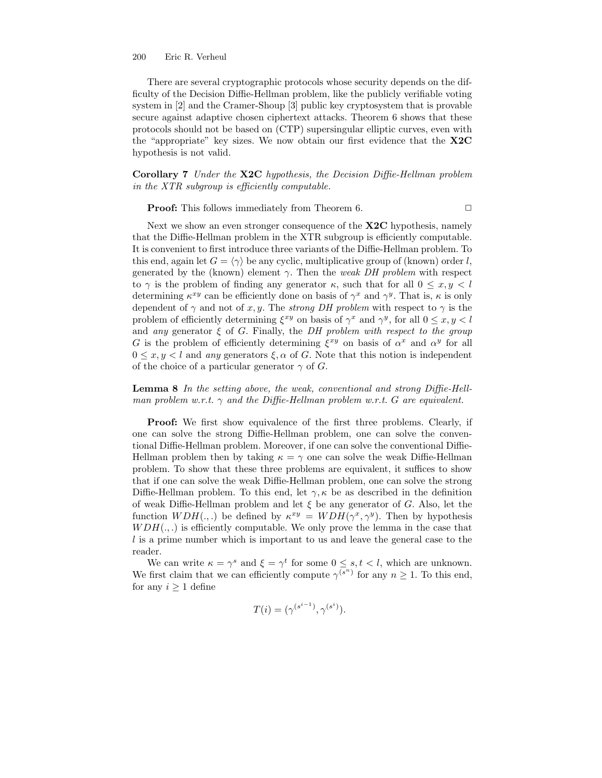There are several cryptographic protocols whose security depends on the difficulty of the Decision Diffie-Hellman problem, like the publicly verifiable voting system in [2] and the Cramer-Shoup [3] public key cryptosystem that is provable secure against adaptive chosen ciphertext attacks. Theorem 6 shows that these protocols should not be based on (CTP) supersingular elliptic curves, even with the "appropriate" key sizes. We now obtain our first evidence that the X2C hypothesis is not valid.

Corollary 7 Under the X2C hypothesis, the Decision Diffie-Hellman problem in the XTR subgroup is efficiently computable.

**Proof:** This follows immediately from Theorem 6.

Next we show an even stronger consequence of the **X2C** hypothesis, namely that the Diffie-Hellman problem in the XTR subgroup is efficiently computable. It is convenient to first introduce three variants of the Diffie-Hellman problem. To this end, again let  $G = \langle \gamma \rangle$  be any cyclic, multiplicative group of (known) order l, generated by the (known) element  $\gamma$ . Then the *weak DH problem* with respect to  $\gamma$  is the problem of finding any generator  $\kappa$ , such that for all  $0 \leq x, y \leq l$ determining  $\kappa^{xy}$  can be efficiently done on basis of  $\gamma^x$  and  $\gamma^y$ . That is,  $\kappa$  is only dependent of  $\gamma$  and not of x, y. The strong DH problem with respect to  $\gamma$  is the problem of efficiently determining  $\xi^{xy}$  on basis of  $\gamma^x$  and  $\gamma^y$ , for all  $0 \le x, y < l$ and any generator  $\xi$  of G. Finally, the DH problem with respect to the group G is the problem of efficiently determining  $\xi^{xy}$  on basis of  $\alpha^x$  and  $\alpha^y$  for all  $0 \leq x, y \leq l$  and any generators  $\xi, \alpha$  of G. Note that this notion is independent of the choice of a particular generator  $\gamma$  of G.

Lemma 8 In the setting above, the weak, conventional and strong Diffie-Hellman problem w.r.t.  $\gamma$  and the Diffie-Hellman problem w.r.t. G are equivalent.

Proof: We first show equivalence of the first three problems. Clearly, if one can solve the strong Diffie-Hellman problem, one can solve the conventional Diffie-Hellman problem. Moreover, if one can solve the conventional Diffie-Hellman problem then by taking  $\kappa = \gamma$  one can solve the weak Diffie-Hellman problem. To show that these three problems are equivalent, it suffices to show that if one can solve the weak Diffie-Hellman problem, one can solve the strong Diffie-Hellman problem. To this end, let  $\gamma$ ,  $\kappa$  be as described in the definition of weak Diffie-Hellman problem and let  $\xi$  be any generator of G. Also, let the function  $WDH(.,.)$  be defined by  $\kappa^{xy} = WDH(\gamma^x, \gamma^y)$ . Then by hypothesis  $WDH(.,.)$  is efficiently computable. We only prove the lemma in the case that l is a prime number which is important to us and leave the general case to the reader.

We can write  $\kappa = \gamma^s$  and  $\xi = \gamma^t$  for some  $0 \leq s, t < l$ , which are unknown. We first claim that we can efficiently compute  $\gamma^{(s^n)}$  for any  $n \geq 1$ . To this end, for any  $i \geq 1$  define

$$
T(i) = (\gamma^{(s^{i-1})}, \gamma^{(s^i)}).
$$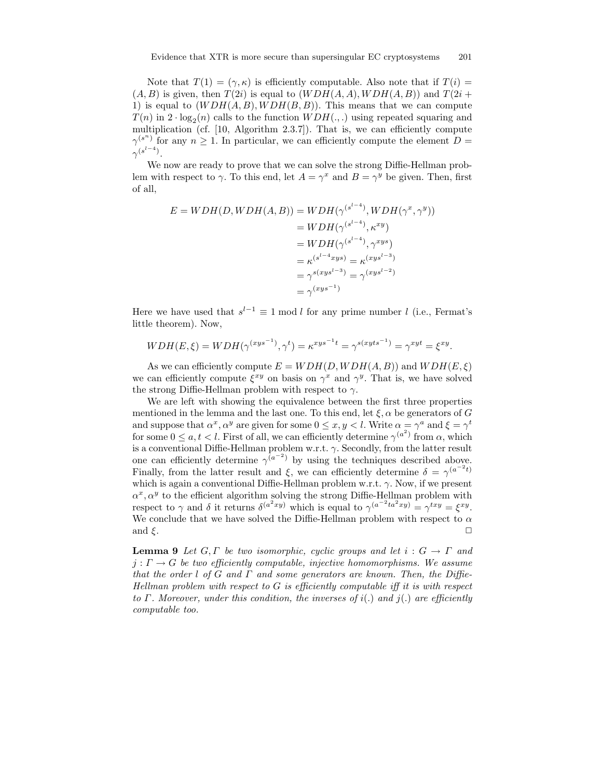Note that  $T(1) = (\gamma, \kappa)$  is efficiently computable. Also note that if  $T(i) =$  $(A, B)$  is given, then  $T(2i)$  is equal to  $(WDH(A, A), WDH(A, B))$  and  $T(2i +$ 1) is equal to  $(WDH(A, B), WDH(B, B))$ . This means that we can compute  $T(n)$  in  $2 \cdot \log_2(n)$  calls to the function  $WDH(.,.)$  using repeated squaring and multiplication (cf. [10, Algorithm 2.3.7]). That is, we can efficiently compute  $\gamma^{(s^n)}$  for any  $n \geq 1$ . In particular, we can efficiently compute the element  $D =$  $\gamma^{(s^{l-4})}.$ 

We now are ready to prove that we can solve the strong Diffie-Hellman problem with respect to  $\gamma$ . To this end, let  $A = \gamma^x$  and  $B = \gamma^y$  be given. Then, first of all,

$$
E = WDH(D, WDH(A, B)) = WDH(\gamma^{(s^{l-4})}, WDH(\gamma^x, \gamma^y))
$$
  
=  $WDH(\gamma^{(s^{l-4})}, \kappa^{xy})$   
=  $WDH(\gamma^{(s^{l-4})}, \gamma^{xys})$   
=  $\kappa^{(s^{l-4}xys)} = \kappa^{(xys^{l-3})}$   
=  $\gamma^{s(xys^{l-3})} = \gamma^{(xys^{l-2})}$   
=  $\gamma^{(xys^{-1})}$ 

Here we have used that  $s^{l-1} \equiv 1 \mod l$  for any prime number l (i.e., Fermat's little theorem). Now,

$$
WDH(E,\xi) = WDH(\gamma^{(xys^{-1})}, \gamma^t) = \kappa^{xys^{-1}t} = \gamma^{s(xyts^{-1})} = \gamma^{xyt} = \xi^{xy}.
$$

As we can efficiently compute  $E = WDH(D, WDH(A, B))$  and  $WDH(E, \xi)$ we can efficiently compute  $\xi^{xy}$  on basis on  $\gamma^x$  and  $\gamma^y$ . That is, we have solved the strong Diffie-Hellman problem with respect to  $\gamma$ .

We are left with showing the equivalence between the first three properties mentioned in the lemma and the last one. To this end, let  $\xi$ ,  $\alpha$  be generators of G and suppose that  $\alpha^x, \alpha^y$  are given for some  $0 \le x, y < l$ . Write  $\alpha = \gamma^a$  and  $\xi = \gamma^t$ for some  $0 \le a, t < l$ . First of all, we can efficiently determine  $\gamma^{(a^2)}$  from  $\alpha$ , which is a conventional Diffie-Hellman problem w.r.t.  $\gamma$ . Secondly, from the latter result one can efficiently determine  $\gamma^{(a^{-2})}$  by using the techniques described above. Finally, from the latter result and  $\xi$ , we can efficiently determine  $\delta = \gamma^{(a^{-2}t)}$ which is again a conventional Diffie-Hellman problem w.r.t.  $\gamma$ . Now, if we present  $\alpha^x, \alpha^y$  to the efficient algorithm solving the strong Diffie-Hellman problem with respect to  $\gamma$  and  $\delta$  it returns  $\delta^{(a^2xy)}$  which is equal to  $\gamma^{(a^{-2}ta^2xy)} = \gamma^{txy} = \xi^{xy}$ . We conclude that we have solved the Diffie-Hellman problem with respect to  $\alpha$ and  $\xi$ .

**Lemma 9** Let G, Γ be two isomorphic, cyclic groups and let  $i: G \to \Gamma$  and  $j: \Gamma \to G$  be two efficiently computable, injective homomorphisms. We assume that the order l of G and  $\Gamma$  and some generators are known. Then, the Diffie-Hellman problem with respect to  $G$  is efficiently computable iff it is with respect to Γ. Moreover, under this condition, the inverses of  $i(.)$  and  $j(.)$  are efficiently computable too.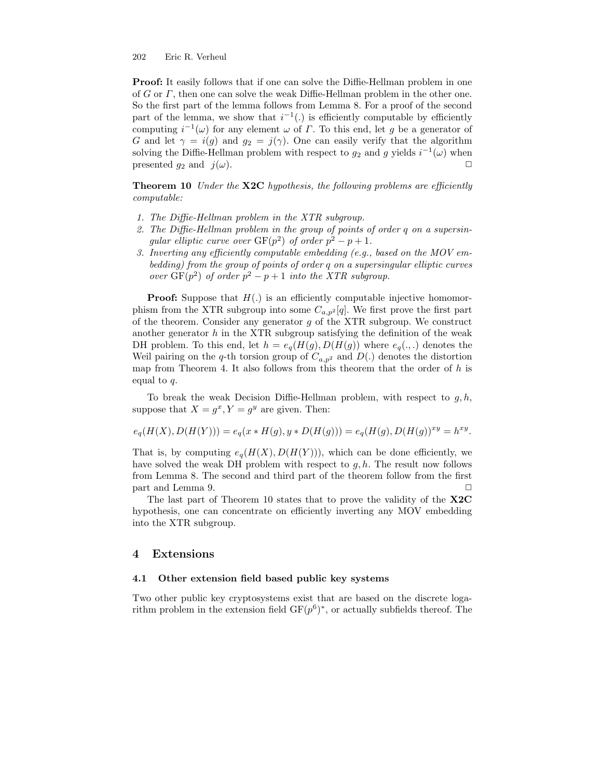**Proof:** It easily follows that if one can solve the Diffie-Hellman problem in one of G or Γ, then one can solve the weak Diffie-Hellman problem in the other one. So the first part of the lemma follows from Lemma 8. For a proof of the second part of the lemma, we show that  $i^{-1}$ . is efficiently computable by efficiently computing  $i^{-1}(\omega)$  for any element  $\omega$  of  $\Gamma$ . To this end, let g be a generator of G and let  $\gamma = i(g)$  and  $g_2 = j(\gamma)$ . One can easily verify that the algorithm solving the Diffie-Hellman problem with respect to  $g_2$  and g yields  $i^{-1}(\omega)$  when presented  $g_2$  and  $j(\omega)$ .

**Theorem 10** Under the  $X2C$  hypothesis, the following problems are efficiently computable:

- 1. The Diffie-Hellman problem in the XTR subgroup.
- 2. The Diffie-Hellman problem in the group of points of order q on a supersingular elliptic curve over  $GF(p^2)$  of order  $p^2 - p + 1$ .
- 3. Inverting any efficiently computable embedding (e.g., based on the MOV embedding) from the group of points of order q on a supersingular elliptic curves over  $GF(p^2)$  of order  $p^2 - p + 1$  into the XTR subgroup.

**Proof:** Suppose that  $H(.)$  is an efficiently computable injective homomorphism from the XTR subgroup into some  $C_{a,p^2}[q]$ . We first prove the first part of the theorem. Consider any generator  $g$  of the XTR subgroup. We construct another generator  $h$  in the XTR subgroup satisfying the definition of the weak DH problem. To this end, let  $h = e_q(H(g), D(H(g))$  where  $e_q(.,.)$  denotes the Weil pairing on the q-th torsion group of  $C_{a,p^2}$  and  $D(.)$  denotes the distortion map from Theorem 4. It also follows from this theorem that the order of  $h$  is equal to q.

To break the weak Decision Diffie-Hellman problem, with respect to  $g, h$ , suppose that  $X = g^x, Y = g^y$  are given. Then:

$$
e_q(H(X), D(H(Y))) = e_q(x * H(g), y * D(H(g))) = e_q(H(g), D(H(g))^{xy} = h^{xy}.
$$

That is, by computing  $e_q(H(X), D(H(Y)))$ , which can be done efficiently, we have solved the weak DH problem with respect to  $g, h$ . The result now follows from Lemma 8. The second and third part of the theorem follow from the first part and Lemma 9.

The last part of Theorem 10 states that to prove the validity of the X2C hypothesis, one can concentrate on efficiently inverting any MOV embedding into the XTR subgroup.

#### 4 Extensions

## 4.1 Other extension field based public key systems

Two other public key cryptosystems exist that are based on the discrete logarithm problem in the extension field  $GF(p^6)^*$ , or actually subfields thereof. The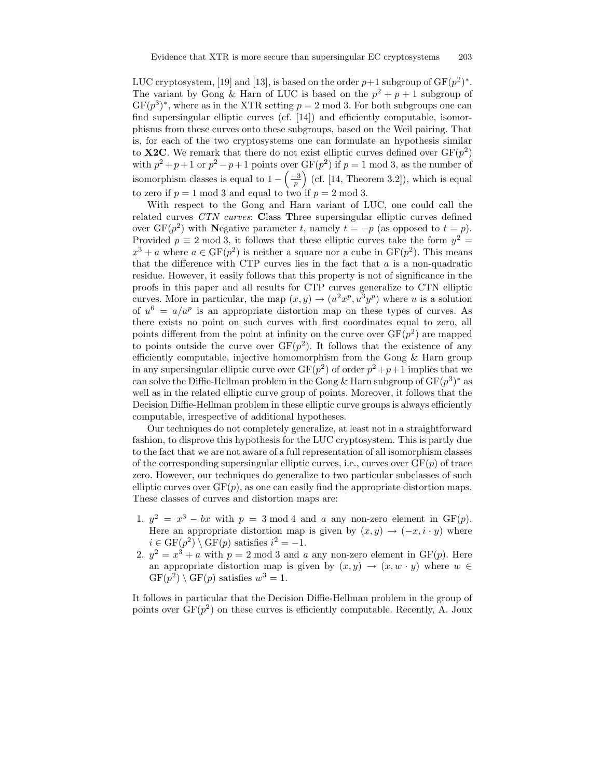LUC cryptosystem, [19] and [13], is based on the order  $p+1$  subgroup of  $GF(p^2)^*$ . The variant by Gong & Harn of LUC is based on the  $p^2 + p + 1$  subgroup of  $GF(p^3)^*$ , where as in the XTR setting  $p = 2 \text{ mod } 3$ . For both subgroups one can find supersingular elliptic curves (cf. [14]) and efficiently computable, isomorphisms from these curves onto these subgroups, based on the Weil pairing. That is, for each of the two cryptosystems one can formulate an hypothesis similar to **X2C**. We remark that there do not exist elliptic curves defined over  $GF(p^2)$ with  $p^2 + p + 1$  or  $p^2 - p + 1$  points over  $GF(p^2)$  if  $p = 1$  mod 3, as the number of isomorphism classes is equal to  $1 - \left(\frac{-3}{p}\right)$  (cf. [14, Theorem 3.2]), which is equal to zero if  $p = 1 \mod 3$  and equal to two if  $p = 2 \mod 3$ .

With respect to the Gong and Harn variant of LUC, one could call the related curves CTN curves: Class Three supersingular elliptic curves defined over  $GF(p^2)$  with Negative parameter t, namely  $t = -p$  (as opposed to  $t = p$ ). Provided  $p \equiv 2 \mod 3$ , it follows that these elliptic curves take the form  $y^2 =$  $x^3 + a$  where  $a \in \text{GF}(p^2)$  is neither a square nor a cube in  $\text{GF}(p^2)$ . This means that the difference with CTP curves lies in the fact that  $a$  is a non-quadratic residue. However, it easily follows that this property is not of significance in the proofs in this paper and all results for CTP curves generalize to CTN elliptic curves. More in particular, the map  $(x, y) \rightarrow (u^2 x^p, u^3 y^p)$  where u is a solution of  $u^6 = a/a^p$  is an appropriate distortion map on these types of curves. As there exists no point on such curves with first coordinates equal to zero, all points different from the point at infinity on the curve over  $GF(p^2)$  are mapped to points outside the curve over  $GF(p^2)$ . It follows that the existence of any efficiently computable, injective homomorphism from the Gong & Harn group in any supersingular elliptic curve over  $GF(p^2)$  of order  $p^2+p+1$  implies that we can solve the Diffie-Hellman problem in the Gong & Harn subgroup of  $GF(p^3)^*$  as well as in the related elliptic curve group of points. Moreover, it follows that the Decision Diffie-Hellman problem in these elliptic curve groups is always efficiently computable, irrespective of additional hypotheses.

Our techniques do not completely generalize, at least not in a straightforward fashion, to disprove this hypothesis for the LUC cryptosystem. This is partly due to the fact that we are not aware of a full representation of all isomorphism classes of the corresponding supersingular elliptic curves, i.e., curves over  $GF(p)$  of trace zero. However, our techniques do generalize to two particular subclasses of such elliptic curves over  $GF(p)$ , as one can easily find the appropriate distortion maps. These classes of curves and distortion maps are:

- 1.  $y^2 = x^3 bx$  with  $p = 3 \mod 4$  and a any non-zero element in GF(p). Here an appropriate distortion map is given by  $(x, y) \rightarrow (-x, i \cdot y)$  where  $i \in \text{GF}(p^2) \setminus \text{GF}(p)$  satisfies  $i^2 = -1$ .
- 2.  $y^2 = x^3 + a$  with  $p = 2 \mod 3$  and a any non-zero element in  $GF(p)$ . Here an appropriate distortion map is given by  $(x, y) \rightarrow (x, w \cdot y)$  where  $w \in$  $GF(p^2) \setminus GF(p)$  satisfies  $w^3 = 1$ .

It follows in particular that the Decision Diffie-Hellman problem in the group of points over  $GF(p^2)$  on these curves is efficiently computable. Recently, A. Joux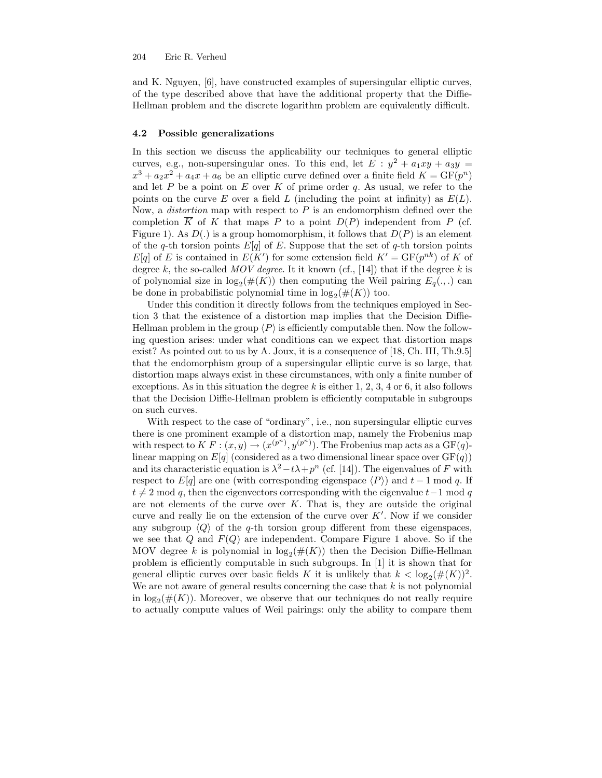and K. Nguyen, [6], have constructed examples of supersingular elliptic curves, of the type described above that have the additional property that the Diffie-Hellman problem and the discrete logarithm problem are equivalently difficult.

#### 4.2 Possible generalizations

In this section we discuss the applicability our techniques to general elliptic curves, e.g., non-supersingular ones. To this end, let  $E : y^2 + a_1xy + a_3y =$  $x^3 + a_2x^2 + a_4x + a_6$  be an elliptic curve defined over a finite field  $K = \text{GF}(p^n)$ and let P be a point on E over K of prime order q. As usual, we refer to the points on the curve E over a field L (including the point at infinity) as  $E(L)$ . Now, a *distortion* map with respect to  $P$  is an endomorphism defined over the completion  $\overline{K}$  of K that maps P to a point  $D(P)$  independent from P (cf. Figure 1). As  $D(.)$  is a group homomorphism, it follows that  $D(P)$  is an element of the q-th torsion points  $E[q]$  of E. Suppose that the set of q-th torsion points  $E[q]$  of E is contained in  $E(K')$  for some extension field  $K' = GF(p^{nk})$  of K of degree k, the so-called MOV degree. It it known (cf., [14]) that if the degree k is of polynomial size in  $\log_2(\#(K))$  then computing the Weil pairing  $E_q(.,.)$  can be done in probabilistic polynomial time in  $\log_2(\#(K))$  too.

Under this condition it directly follows from the techniques employed in Section 3 that the existence of a distortion map implies that the Decision Diffie-Hellman problem in the group  $\langle P \rangle$  is efficiently computable then. Now the following question arises: under what conditions can we expect that distortion maps exist? As pointed out to us by A. Joux, it is a consequence of [18, Ch. III, Th.9.5] that the endomorphism group of a supersingular elliptic curve is so large, that distortion maps always exist in these circumstances, with only a finite number of exceptions. As in this situation the degree k is either  $1, 2, 3, 4$  or 6, it also follows that the Decision Diffie-Hellman problem is efficiently computable in subgroups on such curves.

With respect to the case of "ordinary", i.e., non supersingular elliptic curves there is one prominent example of a distortion map, namely the Frobenius map with respect to  $K F : (x, y) \rightarrow (x^{(p^n)}, y^{(p^n)})$ . The Frobenius map acts as a GF(q)linear mapping on  $E[q]$  (considered as a two dimensional linear space over  $GF(q)$ ) and its characteristic equation is  $\lambda^2 - t\lambda + p^n$  (cf. [14]). The eigenvalues of F with respect to E[q] are one (with corresponding eigenspace  $\langle P \rangle$ ) and t − 1 mod q. If  $t \neq 2 \mod q$ , then the eigenvectors corresponding with the eigenvalue  $t-1 \mod q$ are not elements of the curve over  $K$ . That is, they are outside the original curve and really lie on the extension of the curve over  $K'$ . Now if we consider any subgroup  $\langle Q \rangle$  of the q-th torsion group different from these eigenspaces, we see that  $Q$  and  $F(Q)$  are independent. Compare Figure 1 above. So if the MOV degree k is polynomial in  $log_2(\#(K))$  then the Decision Diffie-Hellman problem is efficiently computable in such subgroups. In [1] it is shown that for general elliptic curves over basic fields K it is unlikely that  $k < \log_2(\#(K))^2$ . We are not aware of general results concerning the case that  $k$  is not polynomial in  $\log_2(\#(K))$ . Moreover, we observe that our techniques do not really require to actually compute values of Weil pairings: only the ability to compare them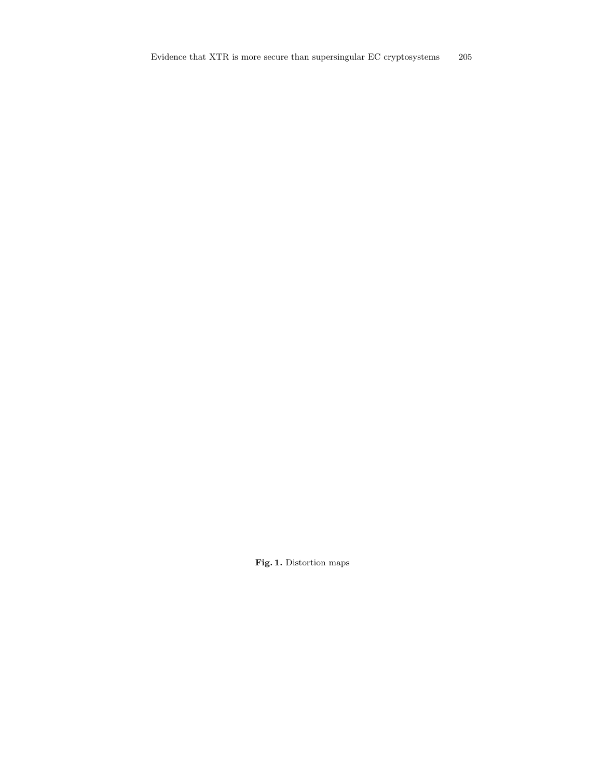Fig. 1. Distortion maps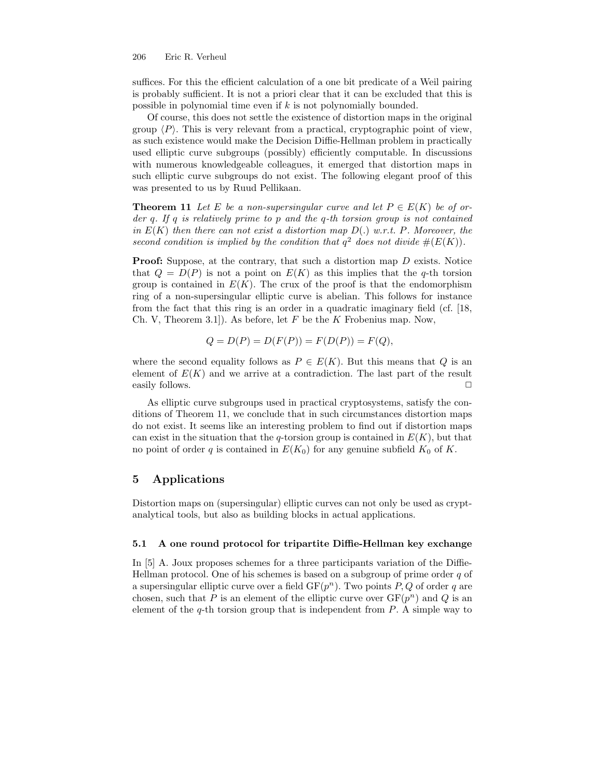suffices. For this the efficient calculation of a one bit predicate of a Weil pairing is probably sufficient. It is not a priori clear that it can be excluded that this is possible in polynomial time even if k is not polynomially bounded.

Of course, this does not settle the existence of distortion maps in the original group  $\langle P \rangle$ . This is very relevant from a practical, cryptographic point of view, as such existence would make the Decision Diffie-Hellman problem in practically used elliptic curve subgroups (possibly) efficiently computable. In discussions with numerous knowledgeable colleagues, it emerged that distortion maps in such elliptic curve subgroups do not exist. The following elegant proof of this was presented to us by Ruud Pellikaan.

**Theorem 11** Let E be a non-supersingular curve and let  $P \in E(K)$  be of order q. If q is relatively prime to p and the q-th torsion group is not contained in  $E(K)$  then there can not exist a distortion map  $D(.)$  w.r.t. P. Moreover, the second condition is implied by the condition that  $q^2$  does not divide  $#(E(K))$ .

Proof: Suppose, at the contrary, that such a distortion map D exists. Notice that  $Q = D(P)$  is not a point on  $E(K)$  as this implies that the q-th torsion group is contained in  $E(K)$ . The crux of the proof is that the endomorphism ring of a non-supersingular elliptic curve is abelian. This follows for instance from the fact that this ring is an order in a quadratic imaginary field (cf. [18, Ch. V, Theorem 3.1.). As before, let F be the K Frobenius map. Now,

$$
Q = D(P) = D(F(P)) = F(D(P)) = F(Q),
$$

where the second equality follows as  $P \in E(K)$ . But this means that Q is an element of  $E(K)$  and we arrive at a contradiction. The last part of the result easily follows.

As elliptic curve subgroups used in practical cryptosystems, satisfy the conditions of Theorem 11, we conclude that in such circumstances distortion maps do not exist. It seems like an interesting problem to find out if distortion maps can exist in the situation that the q-torsion group is contained in  $E(K)$ , but that no point of order q is contained in  $E(K_0)$  for any genuine subfield  $K_0$  of K.

# 5 Applications

Distortion maps on (supersingular) elliptic curves can not only be used as cryptanalytical tools, but also as building blocks in actual applications.

#### 5.1 A one round protocol for tripartite Diffie-Hellman key exchange

In [5] A. Joux proposes schemes for a three participants variation of the Diffie-Hellman protocol. One of his schemes is based on a subgroup of prime order  $q$  of a supersingular elliptic curve over a field  $GF(p^n)$ . Two points  $P, Q$  of order q are chosen, such that P is an element of the elliptic curve over  $GF(p^n)$  and Q is an element of the  $q$ -th torsion group that is independent from  $P$ . A simple way to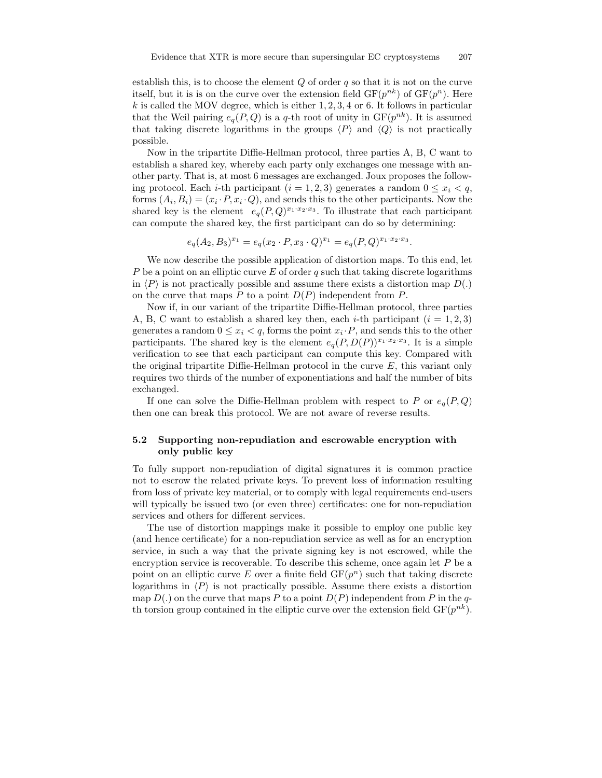establish this, is to choose the element  $Q$  of order q so that it is not on the curve itself, but it is is on the curve over the extension field  $GF(p^{nk})$  of  $GF(p^n)$ . Here k is called the MOV degree, which is either  $1, 2, 3, 4$  or 6. It follows in particular that the Weil pairing  $e_q(P,Q)$  is a q-th root of unity in  $GF(p^{nk})$ . It is assumed that taking discrete logarithms in the groups  $\langle P \rangle$  and  $\langle Q \rangle$  is not practically possible.

Now in the tripartite Diffie-Hellman protocol, three parties A, B, C want to establish a shared key, whereby each party only exchanges one message with another party. That is, at most 6 messages are exchanged. Joux proposes the following protocol. Each *i*-th participant ( $i = 1, 2, 3$ ) generates a random  $0 \leq x_i \leq q$ , forms  $(A_i, B_i) = (x_i \cdot P, x_i \cdot Q)$ , and sends this to the other participants. Now the shared key is the element  $e_q(P,Q)^{x_1 \cdot x_2 \cdot x_3}$ . To illustrate that each participant can compute the shared key, the first participant can do so by determining:

$$
e_q(A_2, B_3)^{x_1} = e_q(x_2 \cdot P, x_3 \cdot Q)^{x_1} = e_q(P, Q)^{x_1 \cdot x_2 \cdot x_3}.
$$

We now describe the possible application of distortion maps. To this end, let P be a point on an elliptic curve E of order q such that taking discrete logarithms in  $\langle P \rangle$  is not practically possible and assume there exists a distortion map  $D(.)$ on the curve that maps P to a point  $D(P)$  independent from P.

Now if, in our variant of the tripartite Diffie-Hellman protocol, three parties A, B, C want to establish a shared key then, each *i*-th participant  $(i = 1, 2, 3)$ generates a random  $0 \leq x_i < q$ , forms the point  $x_i \cdot P$ , and sends this to the other participants. The shared key is the element  $e_q(P,D(P))^{x_1 \cdot x_2 \cdot x_3}$ . It is a simple verification to see that each participant can compute this key. Compared with the original tripartite Diffie-Hellman protocol in the curve  $E$ , this variant only requires two thirds of the number of exponentiations and half the number of bits exchanged.

If one can solve the Diffie-Hellman problem with respect to P or  $e_q(P,Q)$ then one can break this protocol. We are not aware of reverse results.

## 5.2 Supporting non-repudiation and escrowable encryption with only public key

To fully support non-repudiation of digital signatures it is common practice not to escrow the related private keys. To prevent loss of information resulting from loss of private key material, or to comply with legal requirements end-users will typically be issued two (or even three) certificates: one for non-repudiation services and others for different services.

The use of distortion mappings make it possible to employ one public key (and hence certificate) for a non-repudiation service as well as for an encryption service, in such a way that the private signing key is not escrowed, while the encryption service is recoverable. To describe this scheme, once again let  $P$  be a point on an elliptic curve E over a finite field  $GF(p^n)$  such that taking discrete logarithms in  $\langle P \rangle$  is not practically possible. Assume there exists a distortion map  $D(.)$  on the curve that maps P to a point  $D(P)$  independent from P in the qth torsion group contained in the elliptic curve over the extension field  $GF(p^{nk})$ .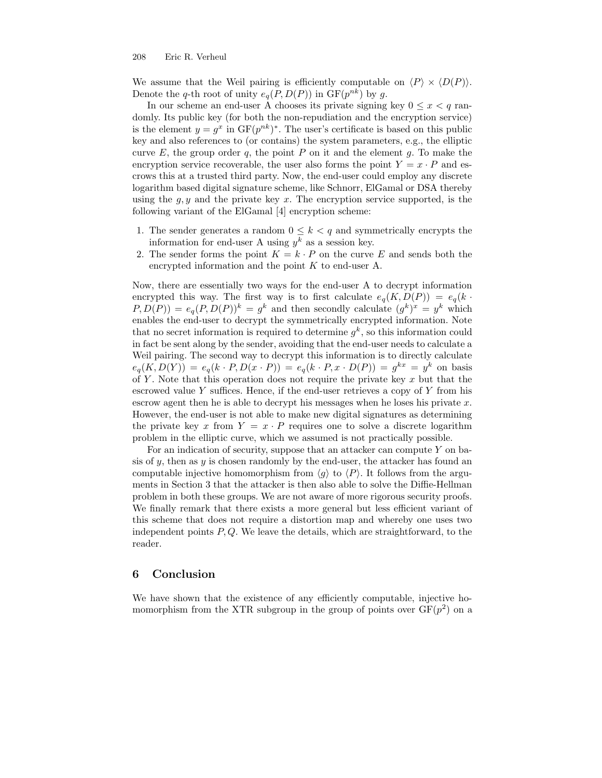We assume that the Weil pairing is efficiently computable on  $\langle P \rangle \times \langle D(P) \rangle$ . Denote the q-th root of unity  $e_q(P, D(P))$  in  $GF(p^{nk})$  by g.

In our scheme an end-user A chooses its private signing key  $0 \leq x \leq q$  randomly. Its public key (for both the non-repudiation and the encryption service) is the element  $y = g^x$  in  $GF(p^{nk})^*$ . The user's certificate is based on this public key and also references to (or contains) the system parameters, e.g., the elliptic curve E, the group order q, the point P on it and the element q. To make the encryption service recoverable, the user also forms the point  $Y = x \cdot P$  and escrows this at a trusted third party. Now, the end-user could employ any discrete logarithm based digital signature scheme, like Schnorr, ElGamal or DSA thereby using the  $g, y$  and the private key x. The encryption service supported, is the following variant of the ElGamal [4] encryption scheme:

- 1. The sender generates a random  $0 \leq k < q$  and symmetrically encrypts the information for end-user A using  $y^k$  as a session key.
- 2. The sender forms the point  $K = k \cdot P$  on the curve E and sends both the encrypted information and the point K to end-user A.

Now, there are essentially two ways for the end-user A to decrypt information encrypted this way. The first way is to first calculate  $e_q(K, D(P)) = e_q(k \cdot$  $P, D(P) = e_q(P, D(P))^k = g^k$  and then secondly calculate  $(g^k)^x = y^k$  which enables the end-user to decrypt the symmetrically encrypted information. Note that no secret information is required to determine  $g^k$ , so this information could in fact be sent along by the sender, avoiding that the end-user needs to calculate a Weil pairing. The second way to decrypt this information is to directly calculate  $e_q(K, D(Y)) = e_q(k \cdot P, D(x \cdot P)) = e_q(k \cdot P, x \cdot D(P)) = g^{kx} = y^k$  on basis of Y. Note that this operation does not require the private key  $x$  but that the escrowed value Y suffices. Hence, if the end-user retrieves a copy of  $Y$  from his escrow agent then he is able to decrypt his messages when he loses his private  $x$ . However, the end-user is not able to make new digital signatures as determining the private key x from  $Y = x \cdot P$  requires one to solve a discrete logarithm problem in the elliptic curve, which we assumed is not practically possible.

For an indication of security, suppose that an attacker can compute  $Y$  on basis of y, then as y is chosen randomly by the end-user, the attacker has found an computable injective homomorphism from  $\langle g \rangle$  to  $\langle P \rangle$ . It follows from the arguments in Section 3 that the attacker is then also able to solve the Diffie-Hellman problem in both these groups. We are not aware of more rigorous security proofs. We finally remark that there exists a more general but less efficient variant of this scheme that does not require a distortion map and whereby one uses two independent points  $P, Q$ . We leave the details, which are straightforward, to the reader.

## 6 Conclusion

We have shown that the existence of any efficiently computable, injective homomorphism from the XTR subgroup in the group of points over  $GF(p^2)$  on a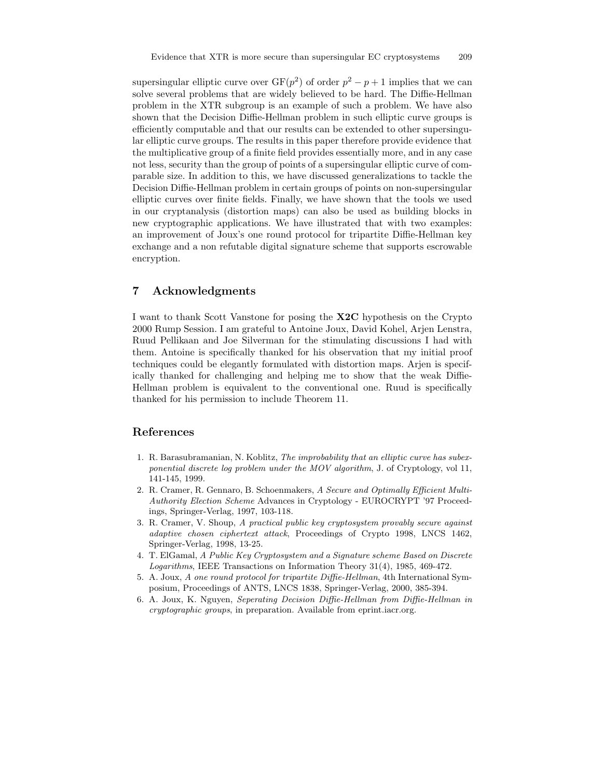supersingular elliptic curve over  $GF(p^2)$  of order  $p^2 - p + 1$  implies that we can solve several problems that are widely believed to be hard. The Diffie-Hellman problem in the XTR subgroup is an example of such a problem. We have also shown that the Decision Diffie-Hellman problem in such elliptic curve groups is efficiently computable and that our results can be extended to other supersingular elliptic curve groups. The results in this paper therefore provide evidence that the multiplicative group of a finite field provides essentially more, and in any case not less, security than the group of points of a supersingular elliptic curve of comparable size. In addition to this, we have discussed generalizations to tackle the Decision Diffie-Hellman problem in certain groups of points on non-supersingular elliptic curves over finite fields. Finally, we have shown that the tools we used in our cryptanalysis (distortion maps) can also be used as building blocks in new cryptographic applications. We have illustrated that with two examples: an improvement of Joux's one round protocol for tripartite Diffie-Hellman key exchange and a non refutable digital signature scheme that supports escrowable encryption.

# 7 Acknowledgments

I want to thank Scott Vanstone for posing the X2C hypothesis on the Crypto 2000 Rump Session. I am grateful to Antoine Joux, David Kohel, Arjen Lenstra, Ruud Pellikaan and Joe Silverman for the stimulating discussions I had with them. Antoine is specifically thanked for his observation that my initial proof techniques could be elegantly formulated with distortion maps. Arjen is specifically thanked for challenging and helping me to show that the weak Diffie-Hellman problem is equivalent to the conventional one. Ruud is specifically thanked for his permission to include Theorem 11.

# References

- 1. R. Barasubramanian, N. Koblitz, The improbability that an elliptic curve has subexponential discrete log problem under the MOV algorithm, J. of Cryptology, vol 11, 141-145, 1999.
- 2. R. Cramer, R. Gennaro, B. Schoenmakers, A Secure and Optimally Efficient Multi-Authority Election Scheme Advances in Cryptology - EUROCRYPT '97 Proceedings, Springer-Verlag, 1997, 103-118.
- 3. R. Cramer, V. Shoup, A practical public key cryptosystem provably secure against adaptive chosen ciphertext attack, Proceedings of Crypto 1998, LNCS 1462, Springer-Verlag, 1998, 13-25.
- 4. T. ElGamal, A Public Key Cryptosystem and a Signature scheme Based on Discrete Logarithms, IEEE Transactions on Information Theory 31(4), 1985, 469-472.
- 5. A. Joux, A one round protocol for tripartite Diffie-Hellman, 4th International Symposium, Proceedings of ANTS, LNCS 1838, Springer-Verlag, 2000, 385-394.
- 6. A. Joux, K. Nguyen, Seperating Decision Diffie-Hellman from Diffie-Hellman in cryptographic groups, in preparation. Available from eprint.iacr.org.